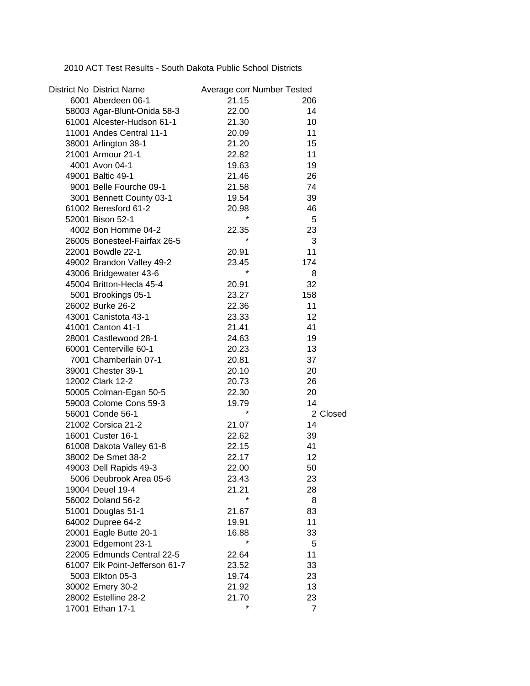2010 ACT Test Results - South Dakota Public School Districts

| <b>District No District Name</b> | Average con Number Tested |                |
|----------------------------------|---------------------------|----------------|
| 6001 Aberdeen 06-1               | 21.15                     | 206            |
| 58003 Agar-Blunt-Onida 58-3      | 22.00                     | 14             |
| 61001 Alcester-Hudson 61-1       | 21.30                     | 10             |
| 11001 Andes Central 11-1         | 20.09                     | 11             |
| 38001 Arlington 38-1             | 21.20                     | 15             |
| 21001 Armour 21-1                | 22.82                     | 11             |
| 4001 Avon 04-1                   | 19.63                     | 19             |
| 49001 Baltic 49-1                | 21.46                     | 26             |
| 9001 Belle Fourche 09-1          | 21.58                     | 74             |
| 3001 Bennett County 03-1         | 19.54                     | 39             |
| 61002 Beresford 61-2             | 20.98                     | 46             |
| 52001 Bison 52-1                 | $\star$                   | 5              |
| 4002 Bon Homme 04-2              | 22.35                     | 23             |
| 26005 Bonesteel-Fairfax 26-5     | $\star$                   | 3              |
| 22001 Bowdle 22-1                | 20.91                     | 11             |
| 49002 Brandon Valley 49-2        | 23.45                     | 174            |
| 43006 Bridgewater 43-6           | $\star$                   | 8              |
| 45004 Britton-Hecla 45-4         | 20.91                     | 32             |
| 5001 Brookings 05-1              | 23.27                     | 158            |
| 26002 Burke 26-2                 | 22.36                     | 11             |
| 43001 Canistota 43-1             | 23.33                     | 12             |
| 41001 Canton 41-1                | 21.41                     | 41             |
| 28001 Castlewood 28-1            | 24.63                     | 19             |
| 60001 Centerville 60-1           | 20.23                     | 13             |
| 7001 Chamberlain 07-1            | 20.81                     | 37             |
| 39001 Chester 39-1               | 20.10                     | 20             |
| 12002 Clark 12-2                 | 20.73                     | 26             |
| 50005 Colman-Egan 50-5           | 22.30                     | 20             |
| 59003 Colome Cons 59-3           | 19.79                     | 14             |
| 56001 Conde 56-1                 | $^{\star}$                | 2 Closed       |
| 21002 Corsica 21-2               | 21.07                     | 14             |
| 16001 Custer 16-1                | 22.62                     | 39             |
| 61008 Dakota Valley 61-8         | 22.15                     | 41             |
| 38002 De Smet 38-2               | 22.17                     | 12             |
| 49003 Dell Rapids 49-3           | 22.00                     | 50             |
| 5006 Deubrook Area 05-6          | 23.43                     | 23             |
| 19004 Deuel 19-4                 | 21.21                     | 28             |
| 56002 Doland 56-2                | $\star$                   | 8              |
| 51001 Douglas 51-1               | 21.67                     | 83             |
| 64002 Dupree 64-2                | 19.91                     | 11             |
| 20001 Eagle Butte 20-1           | 16.88                     | 33             |
| 23001 Edgemont 23-1              |                           | 5              |
| 22005 Edmunds Central 22-5       | 22.64                     | 11             |
| 61007 Elk Point-Jefferson 61-7   | 23.52                     | 33             |
| 5003 Elkton 05-3                 | 19.74                     | 23             |
| 30002 Emery 30-2                 | 21.92                     | 13             |
| 28002 Estelline 28-2             | 21.70                     | 23             |
| 17001 Ethan 17-1                 | $\star$                   | $\overline{7}$ |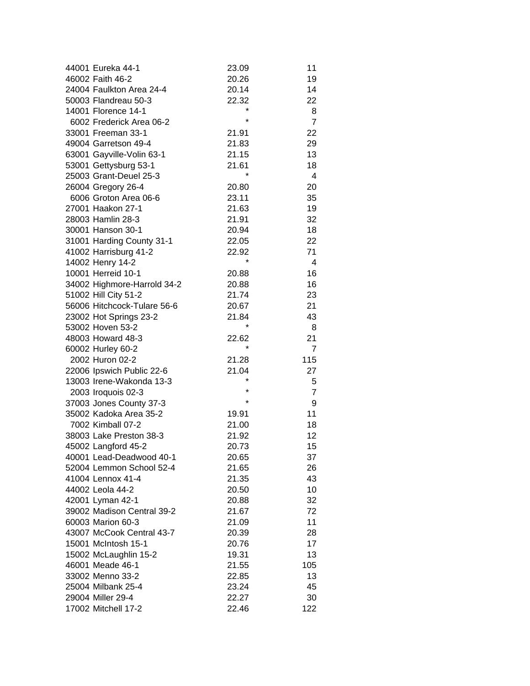| 44001 Eureka 44-1           | 23.09            | 11             |
|-----------------------------|------------------|----------------|
| 46002 Faith 46-2            | 20.26            | 19             |
| 24004 Faulkton Area 24-4    | 20.14            | 14             |
| 50003 Flandreau 50-3        | 22.32            | 22             |
| 14001 Florence 14-1         | *                | 8              |
| 6002 Frederick Area 06-2    | $\star$          | $\overline{7}$ |
| 33001 Freeman 33-1          | 21.91            | 22             |
| 49004 Garretson 49-4        | 21.83            | 29             |
| 63001 Gayville-Volin 63-1   | 21.15            | 13             |
| 53001 Gettysburg 53-1       | 21.61            | 18             |
| 25003 Grant-Deuel 25-3      | $\star$          | 4              |
| 26004 Gregory 26-4          | 20.80            | 20             |
| 6006 Groton Area 06-6       | 23.11            | 35             |
| 27001 Haakon 27-1           | 21.63            | 19             |
| 28003 Hamlin 28-3           | 21.91            | 32             |
| 30001 Hanson 30-1           |                  | 18             |
|                             | 20.94            |                |
| 31001 Harding County 31-1   | 22.05            | 22             |
| 41002 Harrisburg 41-2       | 22.92<br>$\star$ | 71             |
| 14002 Henry 14-2            |                  | 4              |
| 10001 Herreid 10-1          | 20.88            | 16             |
| 34002 Highmore-Harrold 34-2 | 20.88            | 16             |
| 51002 Hill City 51-2        | 21.74            | 23             |
| 56006 Hitchcock-Tulare 56-6 | 20.67            | 21             |
| 23002 Hot Springs 23-2      | 21.84            | 43             |
| 53002 Hoven 53-2            | $\star$          | 8              |
| 48003 Howard 48-3           | 22.62            | 21             |
| 60002 Hurley 60-2           |                  | $\overline{7}$ |
| 2002 Huron 02-2             | 21.28            | 115            |
| 22006 Ipswich Public 22-6   | 21.04            | 27             |
| 13003 Irene-Wakonda 13-3    | *                | 5              |
| 2003 Iroquois 02-3          | *                | $\overline{7}$ |
| 37003 Jones County 37-3     | $\star$          | 9              |
| 35002 Kadoka Area 35-2      | 19.91            | 11             |
| 7002 Kimball 07-2           | 21.00            | 18             |
| 38003 Lake Preston 38-3     | 21.92            | 12             |
| 45002 Langford 45-2         | 20.73            | 15             |
| 40001 Lead-Deadwood 40-1    | 20.65            | 37             |
| 52004 Lemmon School 52-4    | 21.65            | 26             |
| 41004 Lennox 41-4           | 21.35            | 43             |
| 44002 Leola 44-2            | 20.50            | 10             |
| 42001 Lyman 42-1            | 20.88            | 32             |
| 39002 Madison Central 39-2  | 21.67            | 72             |
| 60003 Marion 60-3           | 21.09            | 11             |
| 43007 McCook Central 43-7   | 20.39            | 28             |
| 15001 McIntosh 15-1         | 20.76            | 17             |
| 15002 McLaughlin 15-2       | 19.31            | 13             |
| 46001 Meade 46-1            | 21.55            | 105            |
| 33002 Menno 33-2            | 22.85            | 13             |
| 25004 Milbank 25-4          | 23.24            | 45             |
| 29004 Miller 29-4           | 22.27            | 30             |
| 17002 Mitchell 17-2         | 22.46            | 122            |
|                             |                  |                |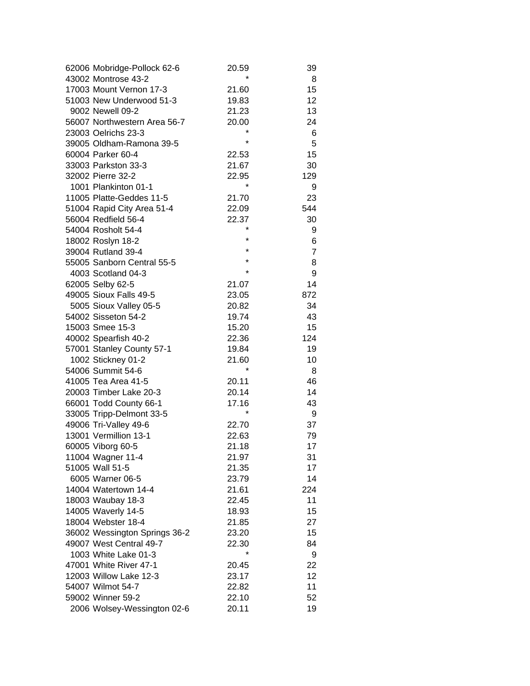| 62006 Mobridge-Pollock 62-6   | 20.59            | 39             |
|-------------------------------|------------------|----------------|
| 43002 Montrose 43-2           |                  | 8              |
| 17003 Mount Vernon 17-3       | 21.60            | 15             |
| 51003 New Underwood 51-3      | 19.83            | 12             |
| 9002 Newell 09-2              | 21.23            | 13             |
| 56007 Northwestern Area 56-7  | 20.00            | 24             |
| 23003 Oelrichs 23-3           | $\star$          | 6              |
| 39005 Oldham-Ramona 39-5      | $\star$          | 5              |
| 60004 Parker 60-4             | 22.53            | 15             |
| 33003 Parkston 33-3           | 21.67            | 30             |
| 32002 Pierre 32-2             | 22.95            | 129            |
| 1001 Plankinton 01-1          | $\star$          | 9              |
| 11005 Platte-Geddes 11-5      | 21.70            | 23             |
| 51004 Rapid City Area 51-4    | 22.09            | 544            |
| 56004 Redfield 56-4           | 22.37            | 30             |
| 54004 Rosholt 54-4            | *                | 9              |
| 18002 Roslyn 18-2             | $\star$          | 6              |
| 39004 Rutland 39-4            | $\star$          | $\overline{7}$ |
| 55005 Sanborn Central 55-5    | $\star$          | 8              |
| 4003 Scotland 04-3            | $\star$          | 9              |
| 62005 Selby 62-5              | 21.07            | 14             |
|                               |                  | 872            |
| 49005 Sioux Falls 49-5        | 23.05            |                |
| 5005 Sioux Valley 05-5        | 20.82            | 34             |
| 54002 Sisseton 54-2           | 19.74            | 43             |
| 15003 Smee 15-3               | 15.20            | 15             |
| 40002 Spearfish 40-2          | 22.36            | 124            |
| 57001 Stanley County 57-1     | 19.84            | 19             |
| 1002 Stickney 01-2            | 21.60<br>$\star$ | 10             |
| 54006 Summit 54-6             |                  | 8              |
| 41005 Tea Area 41-5           | 20.11            | 46             |
| 20003 Timber Lake 20-3        | 20.14            | 14             |
| 66001 Todd County 66-1        | 17.16            | 43             |
| 33005 Tripp-Delmont 33-5      | $\star$          | 9              |
| 49006 Tri-Valley 49-6         | 22.70            | 37             |
| 13001 Vermillion 13-1         | 22.63            | 79             |
| 60005 Viborg 60-5             | 21.18            | 17             |
| 11004 Wagner 11-4             | 21.97            | 31             |
| 51005 Wall 51-5               | 21.35            | 17             |
| 6005 Warner 06-5              | 23.79            | 14             |
| 14004 Watertown 14-4          | 21.61            | 224            |
| 18003 Waubay 18-3             | 22.45            | 11             |
| 14005 Waverly 14-5            | 18.93            | 15             |
| 18004 Webster 18-4            | 21.85            | 27             |
| 36002 Wessington Springs 36-2 | 23.20            | 15             |
| 49007 West Central 49-7       | 22.30            | 84             |
| 1003 White Lake 01-3          | $\star$          | 9              |
| 47001 White River 47-1        | 20.45            | 22             |
| 12003 Willow Lake 12-3        | 23.17            | 12             |
| 54007 Wilmot 54-7             | 22.82            | 11             |
| 59002 Winner 59-2             | 22.10            | 52             |
| 2006 Wolsey-Wessington 02-6   | 20.11            | 19             |